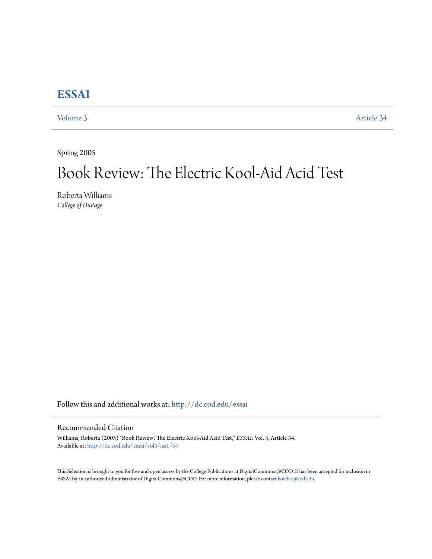## **[ESSAI](http://dc.cod.edu/essai?utm_source=dc.cod.edu%2Fessai%2Fvol3%2Fiss1%2F34&utm_medium=PDF&utm_campaign=PDFCoverPages)**

[Volume 3](http://dc.cod.edu/essai/vol3?utm_source=dc.cod.edu%2Fessai%2Fvol3%2Fiss1%2F34&utm_medium=PDF&utm_campaign=PDFCoverPages) [Article 34](http://dc.cod.edu/essai/vol3/iss1/34?utm_source=dc.cod.edu%2Fessai%2Fvol3%2Fiss1%2F34&utm_medium=PDF&utm_campaign=PDFCoverPages)

Spring 2005

# Book Review: The Electric Kool-Aid Acid Test

Roberta Williams *College of DuPage*

Follow this and additional works at: [http://dc.cod.edu/essai](http://dc.cod.edu/essai?utm_source=dc.cod.edu%2Fessai%2Fvol3%2Fiss1%2F34&utm_medium=PDF&utm_campaign=PDFCoverPages)

#### Recommended Citation

Williams, Roberta (2005) "Book Review: The Electric Kool-Aid Acid Test," *ESSAI*: Vol. 3, Article 34. Available at: [http://dc.cod.edu/essai/vol3/iss1/34](http://dc.cod.edu/essai/vol3/iss1/34?utm_source=dc.cod.edu%2Fessai%2Fvol3%2Fiss1%2F34&utm_medium=PDF&utm_campaign=PDFCoverPages)

This Selection is brought to you for free and open access by the College Publications at DigitalCommons@COD. It has been accepted for inclusion in ESSAI by an authorized administrator of DigitalCommons@COD. For more information, please contact [koteles@cod.edu](mailto:koteles@cod.edu).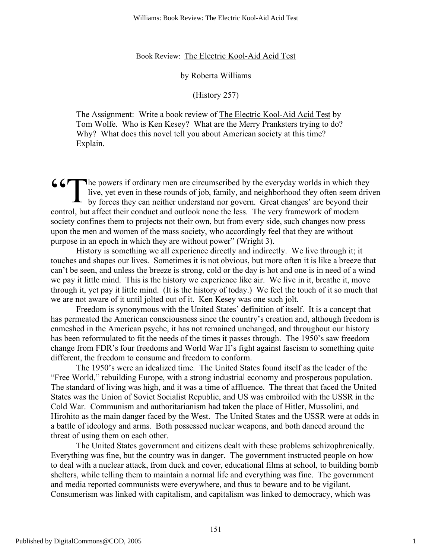#### Book Review: The Electric Kool-Aid Acid Test

#### by Roberta Williams

#### (History 257)

The Assignment: Write a book review of The Electric Kool-Aid Acid Test by Tom Wolfe. Who is Ken Kesey? What are the Merry Pranksters trying to do? Why? What does this novel tell you about American society at this time? Explain.

he powers if ordinary men are circumscribed by the everyday worlds in which they live, yet even in these rounds of job, family, and neighborhood they often seem driven **66 The powers if ordinary men are circumscribed by the everyday worlds in which they live, yet even in these rounds of job, family, and neighborhood they often seem drive by forces they can neither understand nor govern.** control, but affect their conduct and outlook none the less. The very framework of modern society confines them to projects not their own, but from every side, such changes now press upon the men and women of the mass society, who accordingly feel that they are without purpose in an epoch in which they are without power" (Wright 3).

History is something we all experience directly and indirectly. We live through it; it touches and shapes our lives. Sometimes it is not obvious, but more often it is like a breeze that can't be seen, and unless the breeze is strong, cold or the day is hot and one is in need of a wind we pay it little mind. This is the history we experience like air. We live in it, breathe it, move through it, yet pay it little mind. (It is the history of today.) We feel the touch of it so much that we are not aware of it until jolted out of it. Ken Kesey was one such jolt.

Freedom is synonymous with the United States' definition of itself. It is a concept that has permeated the American consciousness since the country's creation and, although freedom is enmeshed in the American psyche, it has not remained unchanged, and throughout our history has been reformulated to fit the needs of the times it passes through. The 1950's saw freedom change from FDR's four freedoms and World War II's fight against fascism to something quite different, the freedom to consume and freedom to conform.

The 1950's were an idealized time. The United States found itself as the leader of the "Free World," rebuilding Europe, with a strong industrial economy and prosperous population. The standard of living was high, and it was a time of affluence. The threat that faced the United States was the Union of Soviet Socialist Republic, and US was embroiled with the USSR in the Cold War. Communism and authoritarianism had taken the place of Hitler, Mussolini, and Hirohito as the main danger faced by the West. The United States and the USSR were at odds in a battle of ideology and arms. Both possessed nuclear weapons, and both danced around the threat of using them on each other.

The United States government and citizens dealt with these problems schizophrenically. Everything was fine, but the country was in danger. The government instructed people on how to deal with a nuclear attack, from duck and cover, educational films at school, to building bomb shelters, while telling them to maintain a normal life and everything was fine. The government and media reported communists were everywhere, and thus to beware and to be vigilant. Consumerism was linked with capitalism, and capitalism was linked to democracy, which was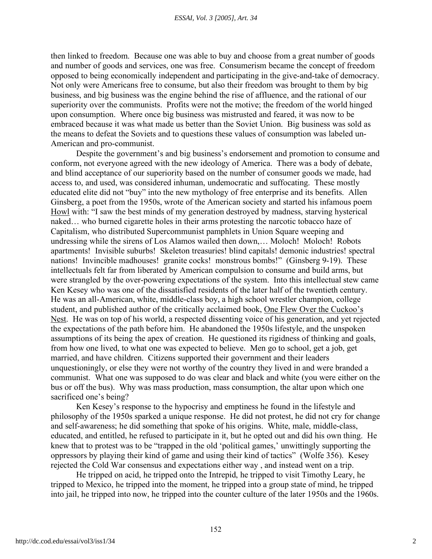then linked to freedom. Because one was able to buy and choose from a great number of goods and number of goods and services, one was free. Consumerism became the concept of freedom opposed to being economically independent and participating in the give-and-take of democracy. Not only were Americans free to consume, but also their freedom was brought to them by big business, and big business was the engine behind the rise of affluence, and the rational of our superiority over the communists. Profits were not the motive; the freedom of the world hinged upon consumption. Where once big business was mistrusted and feared, it was now to be embraced because it was what made us better than the Soviet Union. Big business was sold as the means to defeat the Soviets and to questions these values of consumption was labeled un-American and pro-communist.

Despite the government's and big business's endorsement and promotion to consume and conform, not everyone agreed with the new ideology of America. There was a body of debate, and blind acceptance of our superiority based on the number of consumer goods we made, had access to, and used, was considered inhuman, undemocratic and suffocating. These mostly educated elite did not "buy" into the new mythology of free enterprise and its benefits. Allen Ginsberg, a poet from the 1950s, wrote of the American society and started his infamous poem Howl with: "I saw the best minds of my generation destroyed by madness, starving hysterical naked… who burned cigarette holes in their arms protesting the narcotic tobacco haze of Capitalism, who distributed Supercommunist pamphlets in Union Square weeping and undressing while the sirens of Los Alamos wailed then down,… Moloch! Moloch! Robots apartments! Invisible suburbs! Skeleton treasuries! blind capitals! demonic industries! spectral nations! Invincible madhouses! granite cocks! monstrous bombs!" (Ginsberg 9-19). These intellectuals felt far from liberated by American compulsion to consume and build arms, but were strangled by the over-powering expectations of the system. Into this intellectual stew came Ken Kesey who was one of the dissatisfied residents of the later half of the twentieth century. He was an all-American, white, middle-class boy, a high school wrestler champion, college student, and published author of the critically acclaimed book, One Flew Over the Cuckoo's Nest. He was on top of his world, a respected dissenting voice of his generation, and yet rejected the expectations of the path before him. He abandoned the 1950s lifestyle, and the unspoken assumptions of its being the apex of creation. He questioned its rigidness of thinking and goals, from how one lived, to what one was expected to believe. Men go to school, get a job, get married, and have children. Citizens supported their government and their leaders unquestioningly, or else they were not worthy of the country they lived in and were branded a communist. What one was supposed to do was clear and black and white (you were either on the bus or off the bus). Why was mass production, mass consumption, the altar upon which one sacrificed one's being?

Ken Kesey's response to the hypocrisy and emptiness he found in the lifestyle and philosophy of the 1950s sparked a unique response. He did not protest, he did not cry for change and self-awareness; he did something that spoke of his origins. White, male, middle-class, educated, and entitled, he refused to participate in it, but he opted out and did his own thing. He knew that to protest was to be "trapped in the old 'political games,' unwittingly supporting the oppressors by playing their kind of game and using their kind of tactics" (Wolfe 356). Kesey rejected the Cold War consensus and expectations either way , and instead went on a trip.

He tripped on acid, he tripped onto the Intrepid, he tripped to visit Timothy Leary, he tripped to Mexico, he tripped into the moment, he tripped into a group state of mind, he tripped into jail, he tripped into now, he tripped into the counter culture of the later 1950s and the 1960s.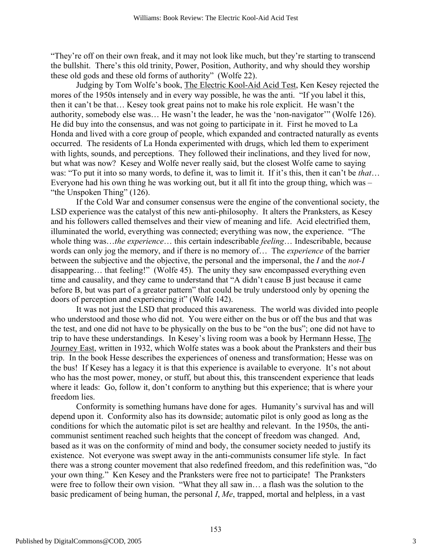"They're off on their own freak, and it may not look like much, but they're starting to transcend the bullshit. There's this old trinity, Power, Position, Authority, and why should they worship these old gods and these old forms of authority" (Wolfe 22).

Judging by Tom Wolfe's book, The Electric Kool-Aid Acid Test, Ken Kesey rejected the mores of the 1950s intensely and in every way possible, he was the anti. "If you label it this, then it can't be that… Kesey took great pains not to make his role explicit. He wasn't the authority, somebody else was… He wasn't the leader, he was the 'non-navigator'" (Wolfe 126). He did buy into the consensus, and was not going to participate in it. First he moved to La Honda and lived with a core group of people, which expanded and contracted naturally as events occurred. The residents of La Honda experimented with drugs, which led them to experiment with lights, sounds, and perceptions. They followed their inclinations, and they lived for now, but what was now? Kesey and Wolfe never really said, but the closest Wolfe came to saying was: "To put it into so many words, to define it, was to limit it. If it's this, then it can't be *that*… Everyone had his own thing he was working out, but it all fit into the group thing, which was – "the Unspoken Thing" (126).

If the Cold War and consumer consensus were the engine of the conventional society, the LSD experience was the catalyst of this new anti-philosophy. It alters the Pranksters, as Kesey and his followers called themselves and their view of meaning and life. Acid electrified them, illuminated the world, everything was connected; everything was now, the experience. "The whole thing was…*the experience*… this certain indescribable *feeling*… Indescribable, because words can only jog the memory, and if there is no memory of… The *experience* of the barrier between the subjective and the objective, the personal and the impersonal, the *I* and the *not-I* disappearing… that feeling!" (Wolfe 45). The unity they saw encompassed everything even time and causality, and they came to understand that "A didn't cause B just because it came before B, but was part of a greater pattern" that could be truly understood only by opening the doors of perception and experiencing it" (Wolfe 142).

It was not just the LSD that produced this awareness. The world was divided into people who understood and those who did not. You were either on the bus or off the bus and that was the test, and one did not have to be physically on the bus to be "on the bus"; one did not have to trip to have these understandings. In Kesey's living room was a book by Hermann Hesse, The Journey East, written in 1932, which Wolfe states was a book about the Pranksters and their bus trip. In the book Hesse describes the experiences of oneness and transformation; Hesse was on the bus! If Kesey has a legacy it is that this experience is available to everyone. It's not about who has the most power, money, or stuff, but about this, this transcendent experience that leads where it leads: Go, follow it, don't conform to anything but this experience; that is where your freedom lies.

Conformity is something humans have done for ages. Humanity's survival has and will depend upon it. Conformity also has its downside; automatic pilot is only good as long as the conditions for which the automatic pilot is set are healthy and relevant. In the 1950s, the anticommunist sentiment reached such heights that the concept of freedom was changed. And, based as it was on the conformity of mind and body, the consumer society needed to justify its existence. Not everyone was swept away in the anti-communists consumer life style. In fact there was a strong counter movement that also redefined freedom, and this redefinition was, "do your own thing." Ken Kesey and the Pranksters were free not to participate! The Pranksters were free to follow their own vision. "What they all saw in… a flash was the solution to the basic predicament of being human, the personal *I*, *Me*, trapped, mortal and helpless, in a vast